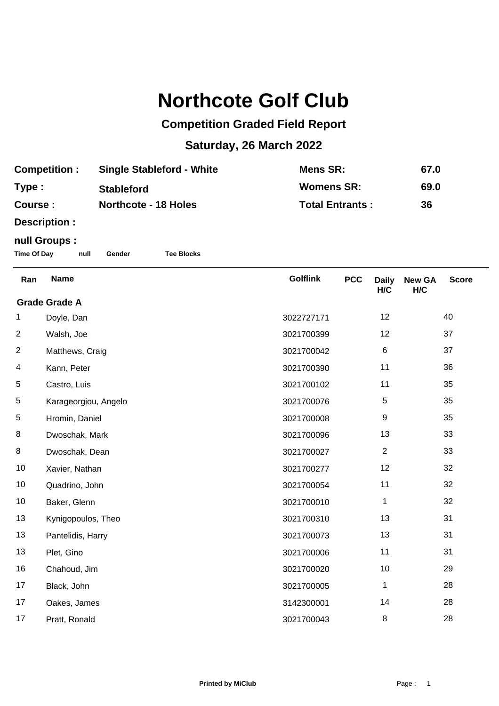## **Northcote Golf Club**

## **Competition Graded Field Report**

## **Saturday, 26 March 2022**

| <b>Competition:</b> | <b>Single Stableford - White</b> | Mens SR:               | 67.0 |
|---------------------|----------------------------------|------------------------|------|
| Type:               | <b>Stableford</b>                | <b>Womens SR:</b>      | 69.0 |
| <b>Course:</b>      | <b>Northcote - 18 Holes</b>      | <b>Total Entrants:</b> | 36   |

**Description :**

## **null Groups :**

**Time Of Day null Gender Tee Blocks**

| Ran                  | <b>Name</b>          | <b>Golflink</b> | <b>PCC</b> | <b>Daily</b><br>H/C | <b>New GA</b><br>H/C | <b>Score</b> |  |
|----------------------|----------------------|-----------------|------------|---------------------|----------------------|--------------|--|
| <b>Grade Grade A</b> |                      |                 |            |                     |                      |              |  |
| 1                    | Doyle, Dan           | 3022727171      |            | 12                  |                      | 40           |  |
| $\overline{c}$       | Walsh, Joe           | 3021700399      |            | 12                  |                      | 37           |  |
| $\overline{2}$       | Matthews, Craig      | 3021700042      |            | $\,6$               |                      | 37           |  |
| 4                    | Kann, Peter          | 3021700390      |            | 11                  |                      | 36           |  |
| 5                    | Castro, Luis         | 3021700102      |            | 11                  |                      | 35           |  |
| 5                    | Karageorgiou, Angelo | 3021700076      |            | 5                   |                      | 35           |  |
| $\,$ 5 $\,$          | Hromin, Daniel       | 3021700008      |            | 9                   |                      | 35           |  |
| 8                    | Dwoschak, Mark       | 3021700096      |            | 13                  |                      | 33           |  |
| 8                    | Dwoschak, Dean       | 3021700027      |            | $\overline{2}$      |                      | 33           |  |
| 10                   | Xavier, Nathan       | 3021700277      |            | 12                  |                      | 32           |  |
| 10                   | Quadrino, John       | 3021700054      |            | 11                  |                      | 32           |  |
| 10                   | Baker, Glenn         | 3021700010      |            | 1                   |                      | 32           |  |
| 13                   | Kynigopoulos, Theo   | 3021700310      |            | 13                  |                      | 31           |  |
| 13                   | Pantelidis, Harry    | 3021700073      |            | 13                  |                      | 31           |  |
| 13                   | Plet, Gino           | 3021700006      |            | 11                  |                      | 31           |  |
| 16                   | Chahoud, Jim         | 3021700020      |            | 10                  |                      | 29           |  |
| 17                   | Black, John          | 3021700005      |            | 1                   |                      | 28           |  |
| 17                   | Oakes, James         | 3142300001      |            | 14                  |                      | 28           |  |
| 17                   | Pratt, Ronald        | 3021700043      |            | 8                   |                      | 28           |  |